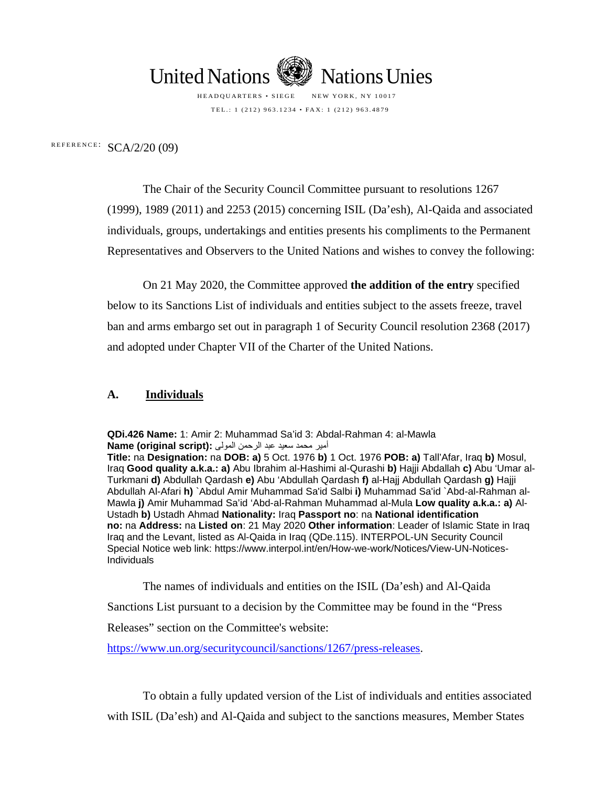

HEADQUARTERS • SIEGE NEW YORK, NY 10017 TEL.: 1 (212) 963.1234 • FAX: 1 (212) 963.4879

REFERENCE:  $SCA/2/20$  (09)

The Chair of the Security Council Committee pursuant to resolutions 1267 (1999), 1989 (2011) and 2253 (2015) concerning ISIL (Da'esh), Al-Qaida and associated individuals, groups, undertakings and entities presents his compliments to the Permanent Representatives and Observers to the United Nations and wishes to convey the following:

On 21 May 2020, the Committee approved **the addition of the entry** specified below to its Sanctions List of individuals and entities subject to the assets freeze, travel ban and arms embargo set out in paragraph 1 of Security Council resolution 2368 (2017) and adopted under Chapter VII of the Charter of the United Nations.

#### **A. Individuals**

**QDi.426 Name:** 1: Amir 2: Muhammad Sa'id 3: Abdal-Rahman 4: al-Mawla أمیر محمد سعید عبد الرحمن المولى **:(script original (Name**

**Title:** na **Designation:** na **DOB: a)** 5 Oct. 1976 **b)** 1 Oct. 1976 **POB: a)** Tall'Afar, Iraq **b)** Mosul, Iraq **Good quality a.k.a.: a)** Abu Ibrahim al-Hashimi al-Qurashi **b)** Hajji Abdallah **c)** Abu 'Umar al-Turkmani **d)** Abdullah Qardash **e)** Abu 'Abdullah Qardash **f)** al-Hajj Abdullah Qardash **g)** Hajji Abdullah Al-Afari **h)** `Abdul Amir Muhammad Sa'id Salbi **i)** Muhammad Sa'id `Abd-al-Rahman al-Mawla **j)** Amir Muhammad Sa'id 'Abd-al-Rahman Muhammad al-Mula **Low quality a.k.a.: a)** Al-Ustadh **b)** Ustadh Ahmad **Nationality:** Iraq **Passport no**: na **National identification no:** na **Address:** na **Listed on**: 21 May 2020 **Other information**: Leader of Islamic State in Iraq Iraq and the Levant, listed as Al-Qaida in Iraq (QDe.115). INTERPOL-UN Security Council Special Notice web link: https://www.interpol.int/en/How-we-work/Notices/View-UN-Notices-Individuals

The names of individuals and entities on the ISIL (Da'esh) and Al-Qaida

Sanctions List pursuant to a decision by the Committee may be found in the "Press

Releases" section on the Committee's website:

https://www.un.org/securitycouncil/sanctions/1267/press-releases.

To obtain a fully updated version of the List of individuals and entities associated with ISIL (Da'esh) and Al-Qaida and subject to the sanctions measures, Member States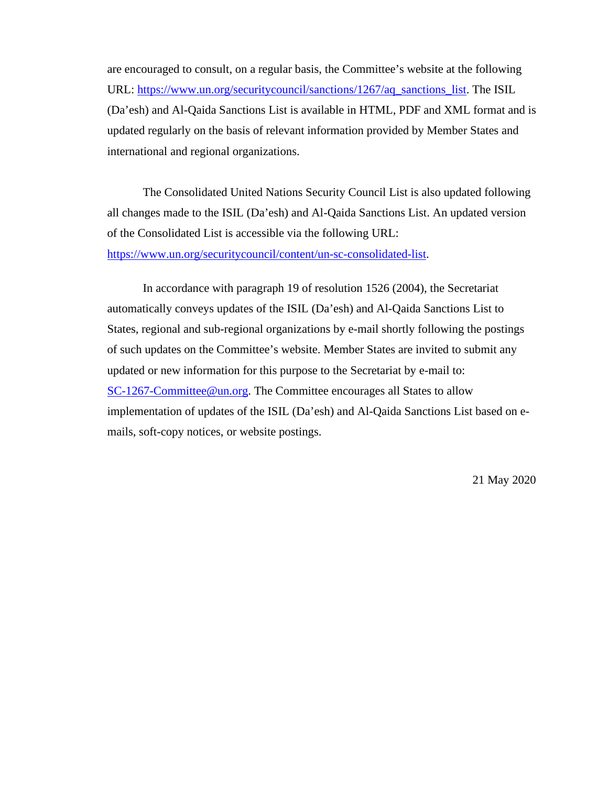are encouraged to consult, on a regular basis, the Committee's website at the following URL: [https://www.un.org/securitycouncil/sanctions/1267/aq\\_sanctions\\_list.](https://www.un.org/securitycouncil/sanctions/1267/aq_sanctions_list) The ISIL (Da'esh) and Al-Qaida Sanctions List is available in HTML, PDF and XML format and is updated regularly on the basis of relevant information provided by Member States and international and regional organizations.

The Consolidated United Nations Security Council List is also updated following all changes made to the ISIL (Da'esh) and Al-Qaida Sanctions List. An updated version of the Consolidated List is accessible via the following URL: [https://www.un.org/securitycouncil/content/un-sc-consolidated-list.](https://www.un.org/securitycouncil/content/un-sc-consolidated-list)

In accordance with paragraph 19 of resolution 1526 (2004), the Secretariat automatically conveys updates of the ISIL (Da'esh) and Al-Qaida Sanctions List to States, regional and sub-regional organizations by e-mail shortly following the postings of such updates on the Committee's website. Member States are invited to submit any updated or new information for this purpose to the Secretariat by e-mail to: [SC-1267-Committee@un.org.](mailto:SC-1267-Committee@un.org) The Committee encourages all States to allow implementation of updates of the ISIL (Da'esh) and Al-Qaida Sanctions List based on emails, soft-copy notices, or website postings.

21 May 2020